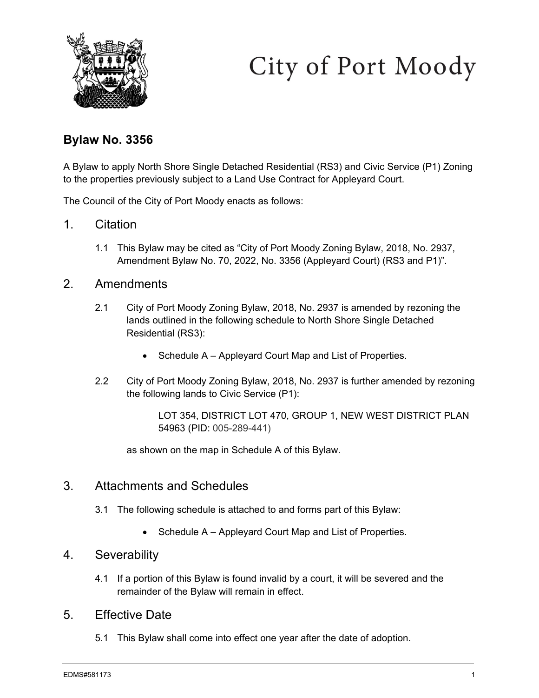

# City of Port Moody

## **Bylaw No. 3356**

A Bylaw to apply North Shore Single Detached Residential (RS3) and Civic Service (P1) Zoning to the properties previously subject to a Land Use Contract for Appleyard Court.

The Council of the City of Port Moody enacts as follows:

- 1. Citation
	- 1.1 This Bylaw may be cited as "City of Port Moody Zoning Bylaw, 2018, No. 2937, Amendment Bylaw No. 70, 2022, No. 3356 (Appleyard Court) (RS3 and P1)".

#### 2. Amendments

- 2.1 City of Port Moody Zoning Bylaw, 2018, No. 2937 is amended by rezoning the lands outlined in the following schedule to North Shore Single Detached Residential (RS3):
	- Schedule A Appleyard Court Map and List of Properties.
- 2.2 City of Port Moody Zoning Bylaw, 2018, No. 2937 is further amended by rezoning the following lands to Civic Service (P1):

as shown on the map in Schedule A of this Bylaw.

#### 3. Attachments and Schedules

- 3.1 The following schedule is attached to and forms part of this Bylaw:
	- Schedule A Appleyard Court Map and List of Properties.

#### 4. Severability

4.1 If a portion of this Bylaw is found invalid by a court, it will be severed and the remainder of the Bylaw will remain in effect.

### 5. Effective Date

5.1 This Bylaw shall come into effect one year after the date of adoption.

LOT 354, DISTRICT LOT 470, GROUP 1, NEW WEST DISTRICT PLAN 54963 (PID: 005-289-441)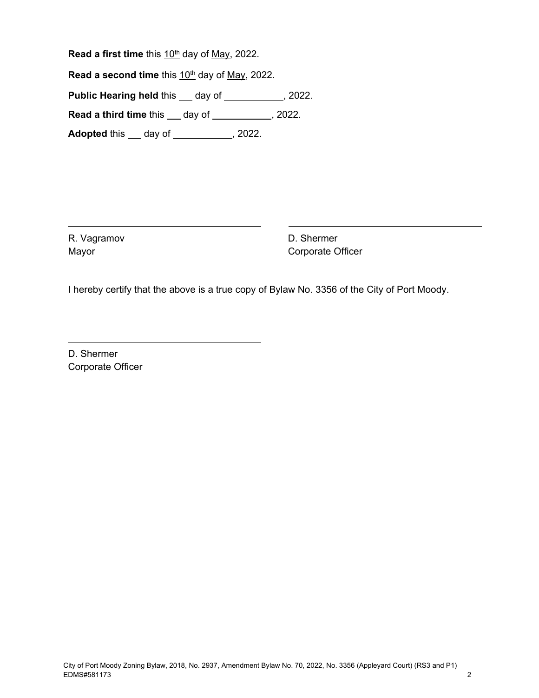Read a first time this 10<sup>th</sup> day of May, 2022.

**Read a second time** this 10<sup>th</sup> day of May, 2022.

**Public Hearing held this \_\_ day of \_\_\_\_\_\_\_\_\_, 2022.** 

**Read a third time** this <u>cause day of  $\frac{1}{2}$ , 2022.</u>

**Adopted** this <u>day of second in the second of  $\overline{\phantom{a}}$ </u>, 2022.

R. Vagramov Mayor

D. Shermer Corporate Officer

I hereby certify that the above is a true copy of Bylaw No. 3356 of the City of Port Moody.

D. Shermer Corporate Officer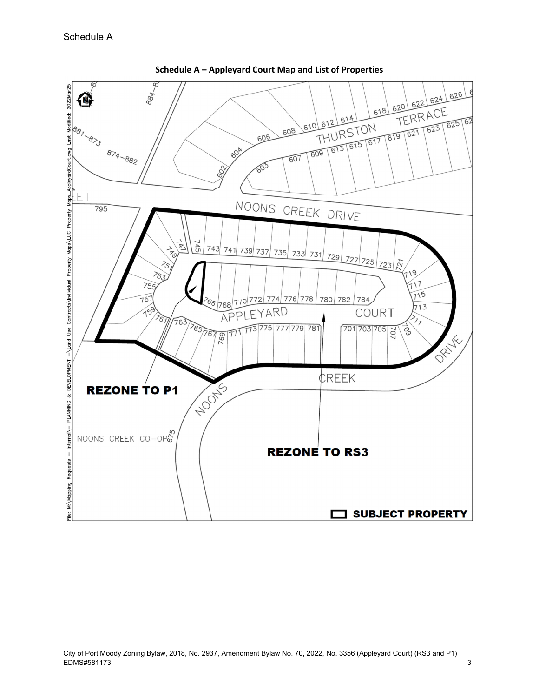

**Schedule A – Appleyard Court Map and List of Properties**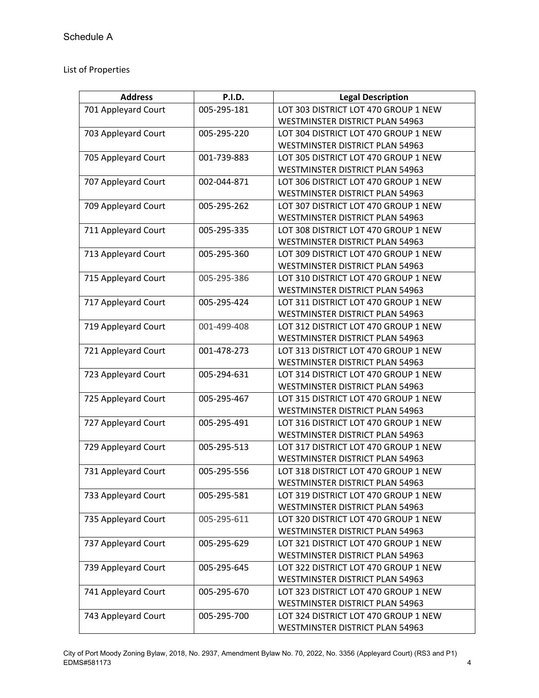List of Properties

| <b>Address</b>      | <b>P.I.D.</b> | <b>Legal Description</b>               |
|---------------------|---------------|----------------------------------------|
| 701 Appleyard Court | 005-295-181   | LOT 303 DISTRICT LOT 470 GROUP 1 NEW   |
|                     |               | <b>WESTMINSTER DISTRICT PLAN 54963</b> |
| 703 Appleyard Court | 005-295-220   | LOT 304 DISTRICT LOT 470 GROUP 1 NEW   |
|                     |               | <b>WESTMINSTER DISTRICT PLAN 54963</b> |
| 705 Appleyard Court | 001-739-883   | LOT 305 DISTRICT LOT 470 GROUP 1 NEW   |
|                     |               | WESTMINSTER DISTRICT PLAN 54963        |
| 707 Appleyard Court | 002-044-871   | LOT 306 DISTRICT LOT 470 GROUP 1 NEW   |
|                     |               | <b>WESTMINSTER DISTRICT PLAN 54963</b> |
| 709 Appleyard Court | 005-295-262   | LOT 307 DISTRICT LOT 470 GROUP 1 NEW   |
|                     |               | WESTMINSTER DISTRICT PLAN 54963        |
| 711 Appleyard Court | 005-295-335   | LOT 308 DISTRICT LOT 470 GROUP 1 NEW   |
|                     |               | WESTMINSTER DISTRICT PLAN 54963        |
| 713 Appleyard Court | 005-295-360   | LOT 309 DISTRICT LOT 470 GROUP 1 NEW   |
|                     |               | <b>WESTMINSTER DISTRICT PLAN 54963</b> |
| 715 Appleyard Court | 005-295-386   | LOT 310 DISTRICT LOT 470 GROUP 1 NEW   |
|                     |               | WESTMINSTER DISTRICT PLAN 54963        |
| 717 Appleyard Court | 005-295-424   | LOT 311 DISTRICT LOT 470 GROUP 1 NEW   |
|                     |               | <b>WESTMINSTER DISTRICT PLAN 54963</b> |
| 719 Appleyard Court | 001-499-408   | LOT 312 DISTRICT LOT 470 GROUP 1 NEW   |
|                     |               | <b>WESTMINSTER DISTRICT PLAN 54963</b> |
| 721 Appleyard Court | 001-478-273   | LOT 313 DISTRICT LOT 470 GROUP 1 NEW   |
|                     |               | WESTMINSTER DISTRICT PLAN 54963        |
| 723 Appleyard Court | 005-294-631   | LOT 314 DISTRICT LOT 470 GROUP 1 NEW   |
|                     |               | <b>WESTMINSTER DISTRICT PLAN 54963</b> |
| 725 Appleyard Court | 005-295-467   | LOT 315 DISTRICT LOT 470 GROUP 1 NEW   |
|                     |               | <b>WESTMINSTER DISTRICT PLAN 54963</b> |
| 727 Appleyard Court | 005-295-491   | LOT 316 DISTRICT LOT 470 GROUP 1 NEW   |
|                     |               | WESTMINSTER DISTRICT PLAN 54963        |
| 729 Appleyard Court | 005-295-513   | LOT 317 DISTRICT LOT 470 GROUP 1 NEW   |
|                     |               | WESTMINSTER DISTRICT PLAN 54963        |
| 731 Appleyard Court | 005-295-556   | LOT 318 DISTRICT LOT 470 GROUP 1 NEW   |
|                     |               | <b>WESTMINSTER DISTRICT PLAN 54963</b> |
| 733 Appleyard Court | 005-295-581   | LOT 319 DISTRICT LOT 470 GROUP 1 NEW   |
|                     |               | WESTMINSTER DISTRICT PLAN 54963        |
| 735 Appleyard Court | 005-295-611   | LOT 320 DISTRICT LOT 470 GROUP 1 NEW   |
|                     |               | WESTMINSTER DISTRICT PLAN 54963        |
| 737 Appleyard Court | 005-295-629   | LOT 321 DISTRICT LOT 470 GROUP 1 NEW   |
|                     |               | <b>WESTMINSTER DISTRICT PLAN 54963</b> |
| 739 Appleyard Court | 005-295-645   | LOT 322 DISTRICT LOT 470 GROUP 1 NEW   |
|                     |               | WESTMINSTER DISTRICT PLAN 54963        |
| 741 Appleyard Court | 005-295-670   | LOT 323 DISTRICT LOT 470 GROUP 1 NEW   |
|                     |               | WESTMINSTER DISTRICT PLAN 54963        |
| 743 Appleyard Court | 005-295-700   | LOT 324 DISTRICT LOT 470 GROUP 1 NEW   |
|                     |               | WESTMINSTER DISTRICT PLAN 54963        |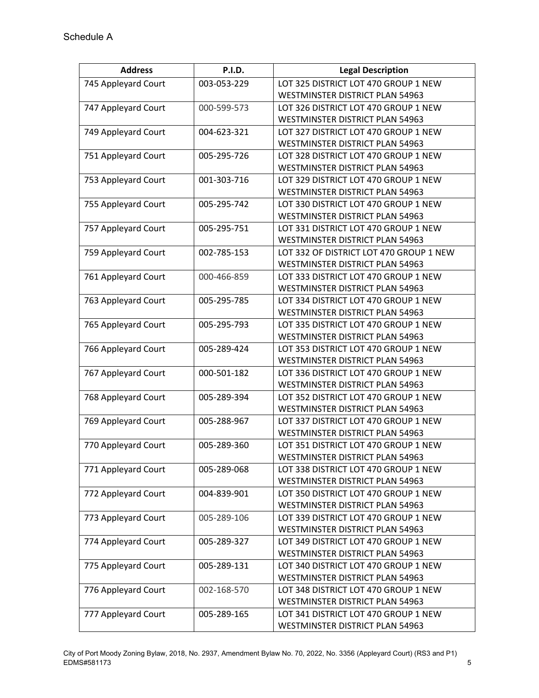| <b>Address</b>      | <b>P.I.D.</b> | <b>Legal Description</b>                                                |
|---------------------|---------------|-------------------------------------------------------------------------|
| 745 Appleyard Court | 003-053-229   | LOT 325 DISTRICT LOT 470 GROUP 1 NEW                                    |
|                     |               | WESTMINSTER DISTRICT PLAN 54963                                         |
| 747 Appleyard Court | 000-599-573   | LOT 326 DISTRICT LOT 470 GROUP 1 NEW                                    |
|                     |               | <b>WESTMINSTER DISTRICT PLAN 54963</b>                                  |
| 749 Appleyard Court | 004-623-321   | LOT 327 DISTRICT LOT 470 GROUP 1 NEW                                    |
|                     |               | WESTMINSTER DISTRICT PLAN 54963                                         |
| 751 Appleyard Court | 005-295-726   | LOT 328 DISTRICT LOT 470 GROUP 1 NEW                                    |
|                     |               | <b>WESTMINSTER DISTRICT PLAN 54963</b>                                  |
| 753 Appleyard Court | 001-303-716   | LOT 329 DISTRICT LOT 470 GROUP 1 NEW                                    |
|                     |               | <b>WESTMINSTER DISTRICT PLAN 54963</b>                                  |
| 755 Appleyard Court | 005-295-742   | LOT 330 DISTRICT LOT 470 GROUP 1 NEW                                    |
|                     |               | WESTMINSTER DISTRICT PLAN 54963                                         |
| 757 Appleyard Court | 005-295-751   | LOT 331 DISTRICT LOT 470 GROUP 1 NEW                                    |
|                     |               | WESTMINSTER DISTRICT PLAN 54963                                         |
| 759 Appleyard Court | 002-785-153   | LOT 332 OF DISTRICT LOT 470 GROUP 1 NEW                                 |
|                     |               | <b>WESTMINSTER DISTRICT PLAN 54963</b>                                  |
| 761 Appleyard Court | 000-466-859   | LOT 333 DISTRICT LOT 470 GROUP 1 NEW                                    |
|                     |               | <b>WESTMINSTER DISTRICT PLAN 54963</b>                                  |
| 763 Appleyard Court | 005-295-785   | LOT 334 DISTRICT LOT 470 GROUP 1 NEW                                    |
|                     |               | <b>WESTMINSTER DISTRICT PLAN 54963</b>                                  |
| 765 Appleyard Court | 005-295-793   | LOT 335 DISTRICT LOT 470 GROUP 1 NEW                                    |
|                     |               | WESTMINSTER DISTRICT PLAN 54963                                         |
| 766 Appleyard Court | 005-289-424   | LOT 353 DISTRICT LOT 470 GROUP 1 NEW                                    |
|                     |               | WESTMINSTER DISTRICT PLAN 54963                                         |
| 767 Appleyard Court | 000-501-182   | LOT 336 DISTRICT LOT 470 GROUP 1 NEW                                    |
|                     |               | WESTMINSTER DISTRICT PLAN 54963                                         |
| 768 Appleyard Court | 005-289-394   | LOT 352 DISTRICT LOT 470 GROUP 1 NEW                                    |
|                     | 005-288-967   | WESTMINSTER DISTRICT PLAN 54963<br>LOT 337 DISTRICT LOT 470 GROUP 1 NEW |
| 769 Appleyard Court |               | WESTMINSTER DISTRICT PLAN 54963                                         |
| 770 Appleyard Court | 005-289-360   | LOT 351 DISTRICT LOT 470 GROUP 1 NEW                                    |
|                     |               | WESTMINSTER DISTRICT PLAN 54963                                         |
| 771 Appleyard Court | 005-289-068   | LOT 338 DISTRICT LOT 470 GROUP 1 NEW                                    |
|                     |               | WESTMINSTER DISTRICT PLAN 54963                                         |
| 772 Appleyard Court | 004-839-901   | LOT 350 DISTRICT LOT 470 GROUP 1 NEW                                    |
|                     |               | <b>WESTMINSTER DISTRICT PLAN 54963</b>                                  |
| 773 Appleyard Court | 005-289-106   | LOT 339 DISTRICT LOT 470 GROUP 1 NEW                                    |
|                     |               | <b>WESTMINSTER DISTRICT PLAN 54963</b>                                  |
| 774 Appleyard Court | 005-289-327   | LOT 349 DISTRICT LOT 470 GROUP 1 NEW                                    |
|                     |               | WESTMINSTER DISTRICT PLAN 54963                                         |
| 775 Appleyard Court | 005-289-131   | LOT 340 DISTRICT LOT 470 GROUP 1 NEW                                    |
|                     |               | WESTMINSTER DISTRICT PLAN 54963                                         |
| 776 Appleyard Court | 002-168-570   | LOT 348 DISTRICT LOT 470 GROUP 1 NEW                                    |
|                     |               | WESTMINSTER DISTRICT PLAN 54963                                         |
| 777 Appleyard Court | 005-289-165   | LOT 341 DISTRICT LOT 470 GROUP 1 NEW                                    |
|                     |               | WESTMINSTER DISTRICT PLAN 54963                                         |